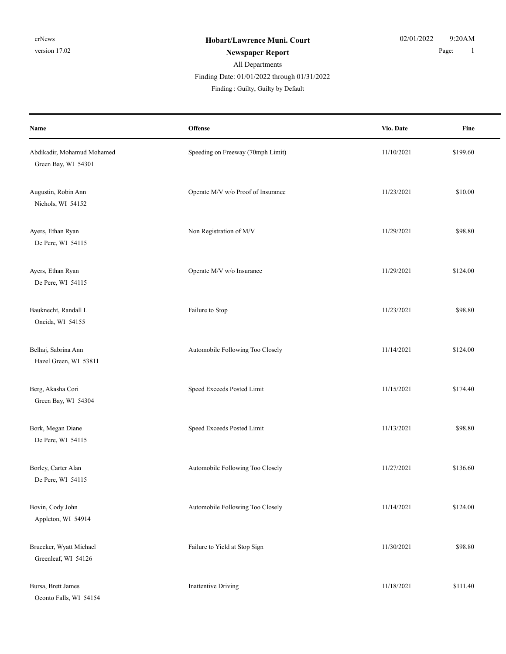### All Departments **Newspaper Report** 1 Finding : Guilty, Guilty by Default Finding Date: 01/01/2022 through 01/31/2022

| Name                                              | Offense                            | Vio. Date  | Fine     |
|---------------------------------------------------|------------------------------------|------------|----------|
| Abdikadir, Mohamud Mohamed<br>Green Bay, WI 54301 | Speeding on Freeway (70mph Limit)  | 11/10/2021 | \$199.60 |
| Augustin, Robin Ann<br>Nichols, WI 54152          | Operate M/V w/o Proof of Insurance | 11/23/2021 | \$10.00  |
| Ayers, Ethan Ryan<br>De Pere, WI 54115            | Non Registration of M/V            | 11/29/2021 | \$98.80  |
| Ayers, Ethan Ryan<br>De Pere, WI 54115            | Operate M/V w/o Insurance          | 11/29/2021 | \$124.00 |
| Bauknecht, Randall L<br>Oneida, WI 54155          | Failure to Stop                    | 11/23/2021 | \$98.80  |
| Belhaj, Sabrina Ann<br>Hazel Green, WI 53811      | Automobile Following Too Closely   | 11/14/2021 | \$124.00 |
| Berg, Akasha Cori<br>Green Bay, WI 54304          | Speed Exceeds Posted Limit         | 11/15/2021 | \$174.40 |
| Bork, Megan Diane<br>De Pere, WI 54115            | Speed Exceeds Posted Limit         | 11/13/2021 | \$98.80  |
| Borley, Carter Alan<br>De Pere, WI 54115          | Automobile Following Too Closely   | 11/27/2021 | \$136.60 |
| Bovin, Cody John<br>Appleton, WI 54914            | Automobile Following Too Closely   | 11/14/2021 | \$124.00 |
| Bruecker, Wyatt Michael<br>Greenleaf, WI 54126    | Failure to Yield at Stop Sign      | 11/30/2021 | \$98.80  |
| Bursa, Brett James<br>Oconto Falls, WI 54154      | <b>Inattentive Driving</b>         | 11/18/2021 | \$111.40 |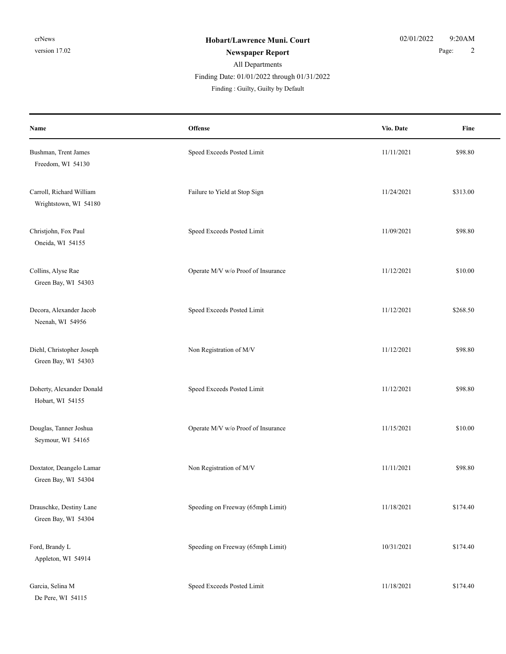### All Departments **Newspaper Report** 2 Finding : Guilty, Guilty by Default Finding Date: 01/01/2022 through 01/31/2022

| Name                                              | <b>Offense</b>                     | Vio. Date  | Fine     |
|---------------------------------------------------|------------------------------------|------------|----------|
| Bushman, Trent James<br>Freedom, WI 54130         | Speed Exceeds Posted Limit         | 11/11/2021 | \$98.80  |
| Carroll, Richard William<br>Wrightstown, WI 54180 | Failure to Yield at Stop Sign      | 11/24/2021 | \$313.00 |
| Christjohn, Fox Paul<br>Oneida, WI 54155          | Speed Exceeds Posted Limit         | 11/09/2021 | \$98.80  |
| Collins, Alyse Rae<br>Green Bay, WI 54303         | Operate M/V w/o Proof of Insurance | 11/12/2021 | \$10.00  |
| Decora, Alexander Jacob<br>Neenah, WI 54956       | Speed Exceeds Posted Limit         | 11/12/2021 | \$268.50 |
| Diehl, Christopher Joseph<br>Green Bay, WI 54303  | Non Registration of M/V            | 11/12/2021 | \$98.80  |
| Doherty, Alexander Donald<br>Hobart, WI 54155     | Speed Exceeds Posted Limit         | 11/12/2021 | \$98.80  |
| Douglas, Tanner Joshua<br>Seymour, WI 54165       | Operate M/V w/o Proof of Insurance | 11/15/2021 | \$10.00  |
| Doxtator, Deangelo Lamar<br>Green Bay, WI 54304   | Non Registration of M/V            | 11/11/2021 | \$98.80  |
| Drauschke, Destiny Lane<br>Green Bay, WI 54304    | Speeding on Freeway (65mph Limit)  | 11/18/2021 | \$174.40 |
| Ford, Brandy L<br>Appleton, WI 54914              | Speeding on Freeway (65mph Limit)  | 10/31/2021 | \$174.40 |
| Garcia, Selina M<br>De Pere, WI 54115             | Speed Exceeds Posted Limit         | 11/18/2021 | \$174.40 |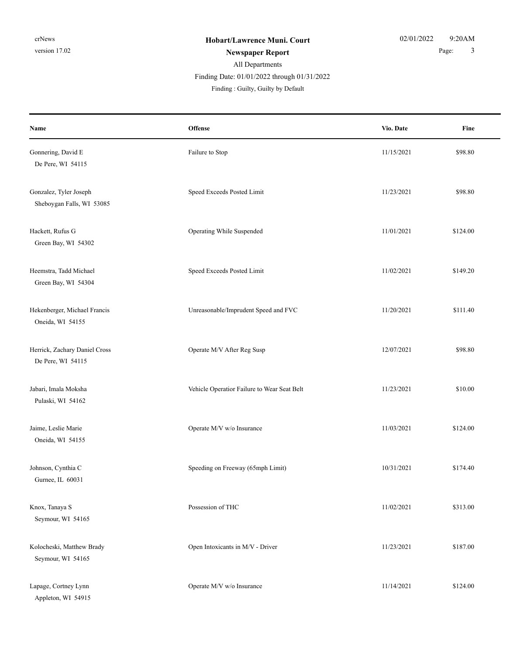# All Departments

Finding Date: 01/01/2022 through 01/31/2022

Finding : Guilty, Guilty by Default

| Name                                                | Offense                                     | Vio. Date  | Fine     |
|-----------------------------------------------------|---------------------------------------------|------------|----------|
| Gonnering, David E<br>De Pere, WI 54115             | Failure to Stop                             | 11/15/2021 | \$98.80  |
| Gonzalez, Tyler Joseph<br>Sheboygan Falls, WI 53085 | Speed Exceeds Posted Limit                  | 11/23/2021 | \$98.80  |
| Hackett, Rufus G<br>Green Bay, WI 54302             | Operating While Suspended                   | 11/01/2021 | \$124.00 |
| Heemstra, Tadd Michael<br>Green Bay, WI 54304       | Speed Exceeds Posted Limit                  | 11/02/2021 | \$149.20 |
| Hekenberger, Michael Francis<br>Oneida, WI 54155    | Unreasonable/Imprudent Speed and FVC        | 11/20/2021 | \$111.40 |
| Herrick, Zachary Daniel Cross<br>De Pere, WI 54115  | Operate M/V After Reg Susp                  | 12/07/2021 | \$98.80  |
| Jabari, Imala Moksha<br>Pulaski, WI 54162           | Vehicle Operatior Failure to Wear Seat Belt | 11/23/2021 | \$10.00  |
| Jaime, Leslie Marie<br>Oneida, WI 54155             | Operate M/V w/o Insurance                   | 11/03/2021 | \$124.00 |
| Johnson, Cynthia C<br>Gurnee, IL 60031              | Speeding on Freeway (65mph Limit)           | 10/31/2021 | \$174.40 |
| Knox, Tanaya S<br>Seymour, WI 54165                 | Possession of THC                           | 11/02/2021 | \$313.00 |
| Kolocheski, Matthew Brady<br>Seymour, WI 54165      | Open Intoxicants in M/V - Driver            | 11/23/2021 | \$187.00 |
| Lapage, Cortney Lynn<br>Appleton, WI 54915          | Operate M/V w/o Insurance                   | 11/14/2021 | \$124.00 |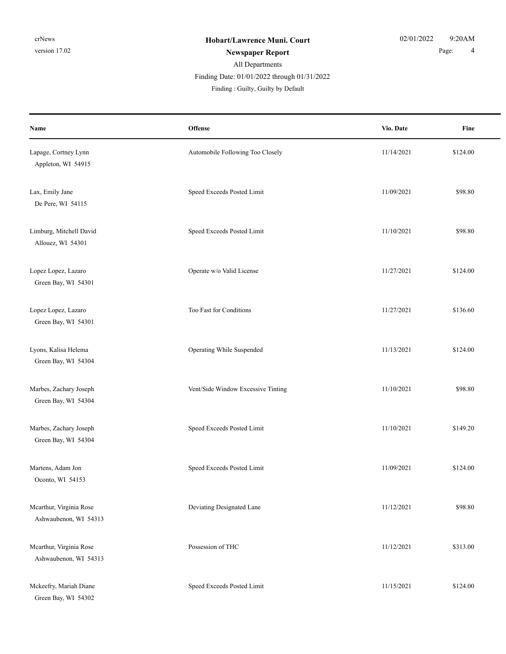## All Departments Finding : Guilty, Guilty by Default Finding Date: 01/01/2022 through 01/31/2022

**Offense** Fine **Name Vio. Date** Lapage, Cortney Lynn **Automobile Following Too Closely** 11/14/2021 \$124.00 Appleton, WI 54915 Lax, Emily Jane Speed Exceeds Posted Limit 11/09/2021 \$98.80 De Pere, WI 54115 Limburg, Mitchell David Speed Exceeds Posted Limit 11/10/2021 \$98.80 Allouez, WI 54301 Lopez Lopez, Lazaro **Operate w/o Valid License** 11/27/2021 \$124.00 Green Bay, WI 54301 Lopez Lopez, Lazaro S136.60 Green Bay, WI 54301 Lyons, Kalisa Helema **Samua Constanting While Suspended** 11/13/2021 \$124.00 Green Bay, WI 54304 Marbes, Zachary Joseph Vent/Side Window Excessive Tinting 11/10/2021 \$98.80 Green Bay, WI 54304 Marbes, Zachary Joseph Speed Exceeds Posted Limit 11/10/2021 \$149.20 Green Bay, WI 54304 Martens, Adam Jon Speed Exceeds Posted Limit 11/09/2021 \$124.00 Oconto, WI 54153 Mcarthur, Virginia Rose **Deviating Designated Lane** 11/12/2021 \$98.80 Ashwaubenon, WI 54313 Mcarthur, Virginia Rose **Possession of THC** 11/12/2021 \$313.00 Ashwaubenon, WI 54313 Mckeefry, Mariah Diane Speed Exceeds Posted Limit 11/15/2021 \$124.00 Green Bay, WI 54302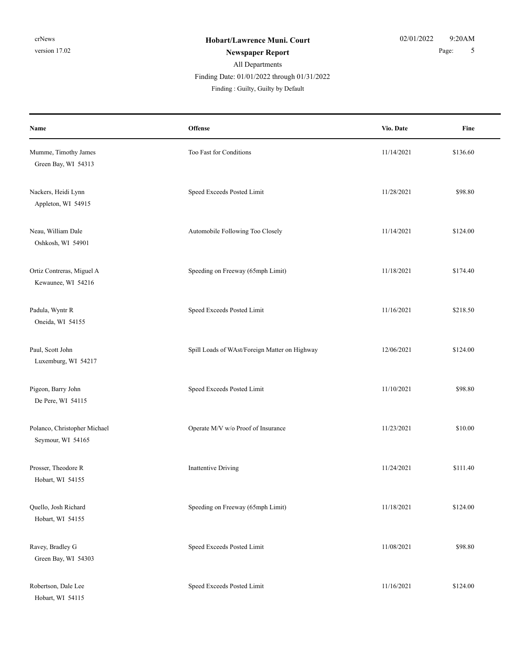Hobart, WI 54115

#### All Departments **Newspaper Report** 5 Finding : Guilty, Guilty by Default Finding Date: 01/01/2022 through 01/31/2022

**Offense** Fine **Name Vio. Date** Mumme, Timothy James Too Fast for Conditions Too Fast for Conditions 11/14/2021 \$136.60 Green Bay, WI 54313 Nackers, Heidi Lynn Speed Exceeds Posted Limit 11/28/2021 \$98.80 Appleton, WI 54915 Neau, William Dale **Automobile Following Too Closely** 11/14/2021 \$124.00 Oshkosh, WI 54901 Ortiz Contreras, Miguel A Speeding on Freeway (65mph Limit) 11/18/2021 \$174.40 Kewaunee, WI 54216 Padula, Wyntr R Speed Exceeds Posted Limit 11/16/2021 \$218.50 Oneida, WI 54155 Paul, Scott John Spill Loads of WAst/Foreign Matter on Highway 12/06/2021 \$124.00 Luxemburg, WI 54217 Pigeon, Barry John Speed Exceeds Posted Limit 11/10/2021 \$98.80 De Pere, WI 54115 Polanco, Christopher Michael Operate M/V w/o Proof of Insurance 11/23/2021 \$10.00 Seymour, WI 54165 Prosser, Theodore R **Inattentive Driving** 11/24/2021 \$111.40 Hobart, WI 54155 Quello, Josh Richard Speeding on Freeway (65mph Limit) 11/18/2021 \$124.00 Hobart, WI 54155 Ravey, Bradley G Speed Exceeds Posted Limit 11/08/2021 \$98.80 Green Bay, WI 54303 Robertson, Dale Lee Speed Exceeds Posted Limit 11/16/2021 \$124.00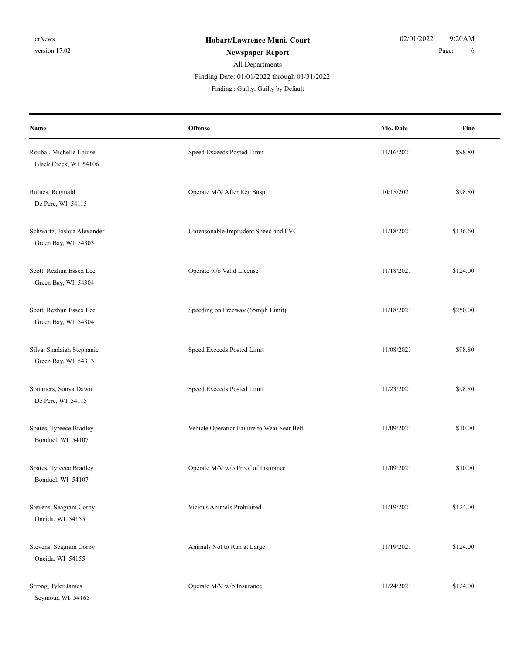## All Departments Finding : Guilty, Guilty by Default Finding Date: 01/01/2022 through 01/31/2022

| Name                                              | <b>Offense</b>                              | Vio. Date  | Fine     |
|---------------------------------------------------|---------------------------------------------|------------|----------|
| Roubal, Michelle Louise<br>Black Creek, WI 54106  | Speed Exceeds Posted Limit                  | 11/16/2021 | \$98.80  |
| Rutues, Reginald<br>De Pere, WI 54115             | Operate M/V After Reg Susp                  | 10/18/2021 | \$98.80  |
| Schwartz, Joshua Alexander<br>Green Bay, WI 54303 | Unreasonable/Imprudent Speed and FVC        | 11/18/2021 | \$136.60 |
| Scott, Rezhun Essex Lee<br>Green Bay, WI 54304    | Operate w/o Valid License                   | 11/18/2021 | \$124.00 |
| Scott, Rezhun Essex Lee<br>Green Bay, WI 54304    | Speeding on Freeway (65mph Limit)           | 11/18/2021 | \$250.00 |
| Silva, Shadaiah Stephanie<br>Green Bay, WI 54313  | Speed Exceeds Posted Limit                  | 11/08/2021 | \$98.80  |
| Sommers, Sonya Dawn<br>De Pere, WI 54115          | Speed Exceeds Posted Limit                  | 11/23/2021 | \$98.80  |
| Spates, Tyreece Bradley<br>Bonduel, WI 54107      | Vehicle Operatior Failure to Wear Seat Belt | 11/09/2021 | \$10.00  |
| Spates, Tyreece Bradley<br>Bonduel, WI 54107      | Operate M/V w/o Proof of Insurance          | 11/09/2021 | \$10.00  |
| Stevens, Seagram Corby<br>Oneida, WI 54155        | Vicious Animals Prohibited                  | 11/19/2021 | \$124.00 |
| Stevens, Seagram Corby<br>Oneida, WI 54155        | Animals Not to Run at Large                 | 11/19/2021 | \$124.00 |
| Strong, Tyler James<br>Seymour, WI 54165          | Operate M/V w/o Insurance                   | 11/24/2021 | \$124.00 |